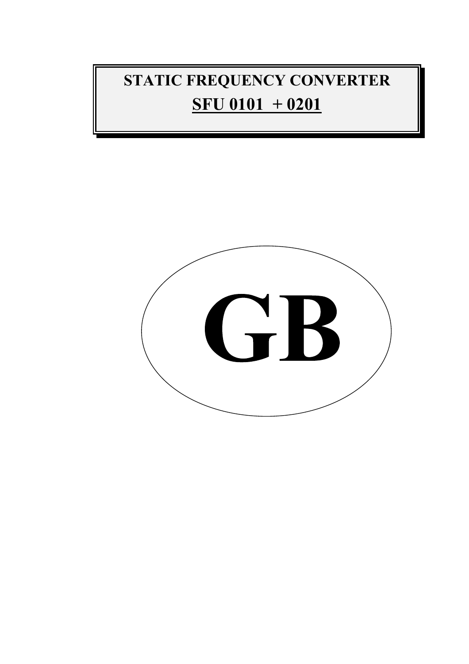# **STATIC FREQUENCY CONVERTER SFU 0101 + 0201**

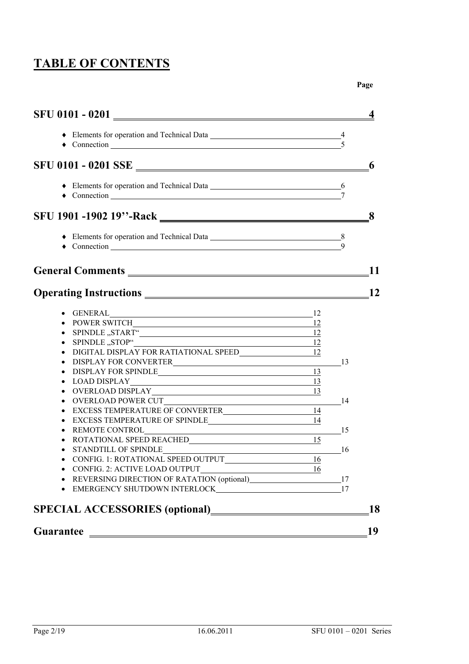# **TABLE OF CONTENTS**

| • Elements for operation and Technical Data 144<br>$\bullet$ Connection $\_\_\_\_\_\_\_$                                                                                                                                                                                                                        |                       |           |
|-----------------------------------------------------------------------------------------------------------------------------------------------------------------------------------------------------------------------------------------------------------------------------------------------------------------|-----------------------|-----------|
|                                                                                                                                                                                                                                                                                                                 |                       | 6         |
| $\bullet$ Connection $\qquad \qquad$                                                                                                                                                                                                                                                                            |                       |           |
|                                                                                                                                                                                                                                                                                                                 |                       | 8         |
| • Elements for operation and Technical Data 1984<br>• Connection <u>Connection</u>                                                                                                                                                                                                                              |                       |           |
|                                                                                                                                                                                                                                                                                                                 |                       | 11        |
|                                                                                                                                                                                                                                                                                                                 |                       | 12        |
| GENERAL 12<br>$\bullet$<br>SPINDLE "START" 12<br>SPINDLE "STOP"<br>$\sim$ 12<br>$\bullet$<br>DISPLAY FOR SPINDLE 13<br>$\bullet$<br>LOAD DISPLAY 13<br>$\bullet$<br>OVERLOAD DISPLAY 13<br>$\bullet$<br>$\bullet$<br>REMOTE CONTROL 15<br>STANDTILL OF SPINDLE<br>REVERSING DIRECTION OF RATATION (optional) 17 | -13<br>14<br>16<br>17 |           |
|                                                                                                                                                                                                                                                                                                                 |                       | <b>18</b> |
|                                                                                                                                                                                                                                                                                                                 |                       | 19        |

**Page Page**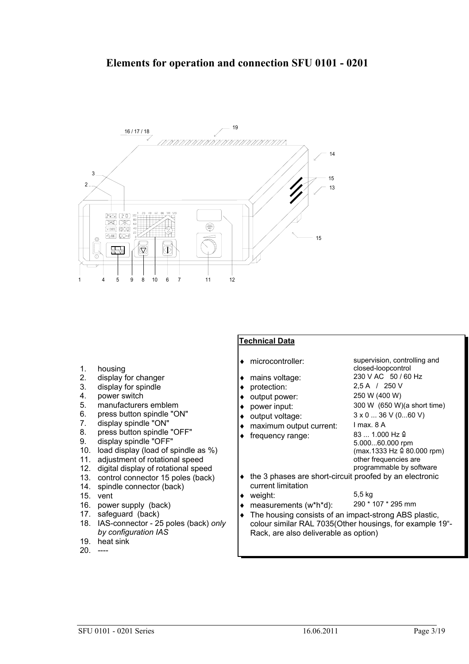

- 1. housing
- 2. display for changer
- 3. display for spindle
- 4. power switch
- 5. manufacturers emblem
- 6. press button spindle "ON"
- 7. display spindle "ON"
- 8. press button spindle "OFF"
- 9. display spindle "OFF"
- 10. load display (load of spindle as %)
- 11. adjustment of rotational speed
- 12. digital display of rotational speed
- 13. control connector 15 poles (back)
- 14. spindle connector (back)
- 15. vent
- 16. power supply (back)
- 17. safeguard (back)
- 18. IAS-connector 25 poles (back) *only by configuration IAS*
- 19. heat sink
- 20. ----

#### **Technical Data**

- ♦ microcontroller: supervision, controlling and
- $\bullet$  mains voltage:
- ♦ protection: 2,5 A / 250 V
- ♦ output power: 250 W (400 W)
- ♦ power input: 300 W (650 W)(a short time)
- ♦ output voltage: 3 x 0 ... 36 V (0...60 V)
- 
- $\bullet$  maximum output current: I max. 8 A<br>
► frequency range: 83 ... 1.000 Hz  $\triangleq$  $\bullet$  frequency range: 5.000...60.000 rpm  $(max.1333 Hz <sup>2</sup> 80.000 rpm)$ other frequencies are programmable by software ♦ the 3 phases are short-circuit proofed by an electronic
- current limitation  $\bullet$  weight: 5,5 kg<br>  $\bullet$  measurements (w\*h\*d): 290 \* 107 \* 295 mm
- $\bullet$  measurements (w\*h\*d):
- 

closed-loopcontrol<br>230 V AC 50 / 60 Hz

♦ The housing consists of an impact-strong ABS plastic, colour similar RAL 7035(Other housings, for example 19"- Rack, are also deliverable as option)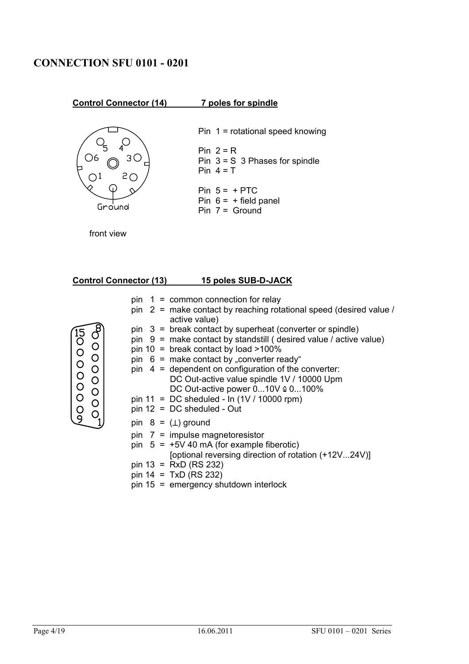# **CONNECTION SFU 0101 - 0201**

#### **Control Connector (14) 7 poles for spindle**



Pin 1 = rotational speed knowing Pin  $2 = R$ Pin 3 = S 3 Phases for spindle Pin  $4 = T$ Pin  $5 = +$  PTC Pin  $6 = +$  field panel Pin 7 = Ground

front view

င်

 $\overline{O}$ 

 $\overline{O}$ 

 $\overline{O}$ 

 $\overline{O}$ 

 $\overline{O}$ 

 $\circ$ 

 $\Omega$ 

15<br>0

 $\overline{O}$ 

 $\overline{O}$ 

 $\overline{O}$ 

 $\overline{O}$ 

 $\overline{O}$ 

Ó

### **Control Connector (13) 15 poles SUB-D-JACK**

- pin  $1 =$  common connection for relay
- pin  $2 =$  make contact by reaching rotational speed (desired value / active value)
- pin 3 = break contact by superheat (converter or spindle)
- pin  $9 =$  make contact by standstill (desired value / active value)
- pin 10 = break contact by load  $>100\%$ 
	- pin  $6 =$  make contact by "converter ready"
- pin  $4 =$  dependent on configuration of the converter: DC Out-active value spindle 1V / 10000 Upm DC Out-active power  $0...10V \triangleq 0...100\%$
- pin 11 = DC sheduled  $\ln(1V / 10000$  rpm)
- pin 12 = DC sheduled Out
- pin  $8 = (\perp)$  ground
- pin 7 = impulse magnetoresistor
- pin  $5 = +5V 40$  mA (for example fiberotic)
	- [optional reversing direction of rotation (+12V...24V)]
- pin 13 = RxD (RS 232)
- pin 14 = TxD (RS 232)
- pin 15 = emergency shutdown interlock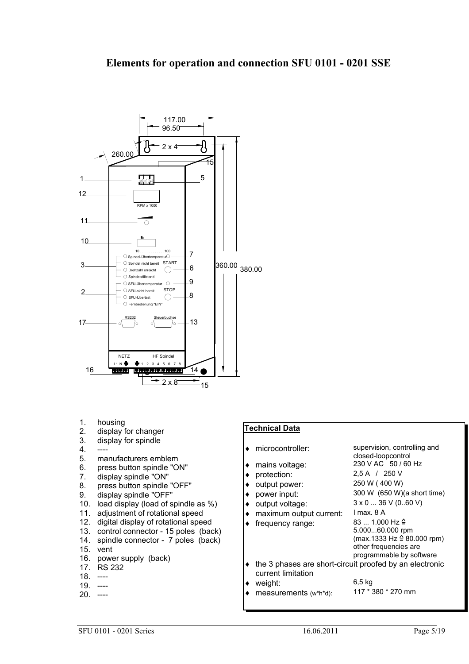#### **Elements for operation and connection SFU 0101 - 0201 SSE**



| <b>Technical Data</b>                                                                                                            |                                                                                                                                                                                                                                        |
|----------------------------------------------------------------------------------------------------------------------------------|----------------------------------------------------------------------------------------------------------------------------------------------------------------------------------------------------------------------------------------|
| microcontroller:                                                                                                                 | supervision, controlling and<br>closed-loopcontrol                                                                                                                                                                                     |
| mains voltage:<br>protection:<br>output power:<br>power input:<br>output voltage:<br>maximum output current:<br>frequency range: | 230 V AC 50 / 60 Hz<br>2,5 A / 250 V<br>250 W (400 W)<br>300 W (650 W)(a short time)<br>$3 \times 0$ 36 V (060 V)<br>I max. 8 A<br>83  1.000 Hz ≙<br>5.00060.000 rpm<br>(max.1333 Hz $\triangleq$ 80.000 rpm)<br>other frequencies are |
| current limitation                                                                                                               | programmable by software<br>the 3 phases are short-circuit proofed by an electronic                                                                                                                                                    |
| weight:<br>measurements (w*h*d):                                                                                                 | 6.5 kg<br>117 * 380 * 270 mm                                                                                                                                                                                                           |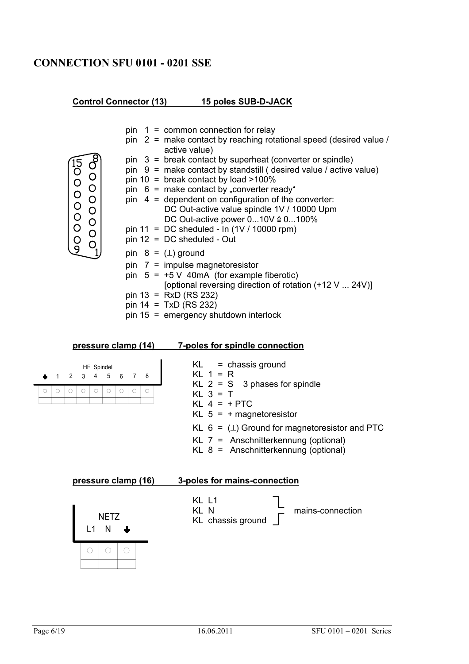# **CONNECTION SFU 0101 - 0201 SSE**

#### **Control Connector (13) 15 poles SUB-D-JACK**

| 0000000<br>$\begin{matrix}0\\0\\0\end{matrix}$<br>$\overline{O}$<br>$\circ$<br>$\circ$<br>O, | $pin$ 1 = common connection for relay<br>pin $2 =$ make contact by reaching rotational speed (desired value /<br>active value)<br>$pin$ 3 = break contact by superheat (converter or spindle)<br>pin $9 =$ make contact by standstill (desired value / active value)<br>pin $10 =$ break contact by load >100%<br>pin $6 =$ make contact by "converter ready"<br>pin $4 =$ dependent on configuration of the converter:<br>DC Out-active value spindle 1V / 10000 Upm<br>DC Out-active power $010V \triangleq 0100\%$<br>pin $11 = DC$ sheduled - In $(1V / 10000$ rpm)<br>pin $12$ = DC sheduled - Out<br>pin $8 = (\perp)$ ground<br>$pin \, 7 = impulse magnetoresistor$<br>pin $5 = +5 \text{ V } 40 \text{ mA}$ (for example fiberotic)<br>[optional reversing direction of rotation (+12 V  24V)]<br>pin $13 = RxD (RS 232)$<br>pin $14 = TxD (RS 232)$<br>$pin 15 = emergency shutdown interlock$ |
|----------------------------------------------------------------------------------------------|----------------------------------------------------------------------------------------------------------------------------------------------------------------------------------------------------------------------------------------------------------------------------------------------------------------------------------------------------------------------------------------------------------------------------------------------------------------------------------------------------------------------------------------------------------------------------------------------------------------------------------------------------------------------------------------------------------------------------------------------------------------------------------------------------------------------------------------------------------------------------------------------------------|
|----------------------------------------------------------------------------------------------|----------------------------------------------------------------------------------------------------------------------------------------------------------------------------------------------------------------------------------------------------------------------------------------------------------------------------------------------------------------------------------------------------------------------------------------------------------------------------------------------------------------------------------------------------------------------------------------------------------------------------------------------------------------------------------------------------------------------------------------------------------------------------------------------------------------------------------------------------------------------------------------------------------|

#### **pressure clamp (14) 7-poles for spindle connection**

|  |   |              | HF Spindel |   |   |  |
|--|---|--------------|------------|---|---|--|
|  | 2 | $\mathbf{3}$ |            | հ | x |  |
|  |   |              | $\circ$    |   |   |  |
|  |   |              |            |   |   |  |

| KL         |  | = chassis ground |
|------------|--|------------------|
| KL $1 = R$ |  |                  |

- $KL$  2 = S 3 phases for spindle
- KL  $3 = T$
- KL  $4 = +$  PTC
- KL  $5 = +$  magnetoresistor
- KL  $6 = (1)$  Ground for magnetoresistor and PTC
- KL 7 = Anschnitterkennung (optional)
- KL 8 = Anschnitterkennung (optional)

#### **pressure clamp (16) 3-poles for mains-connection**



KL L1  $KL$  N  $\subseteq$  mains-connection KL chassis ground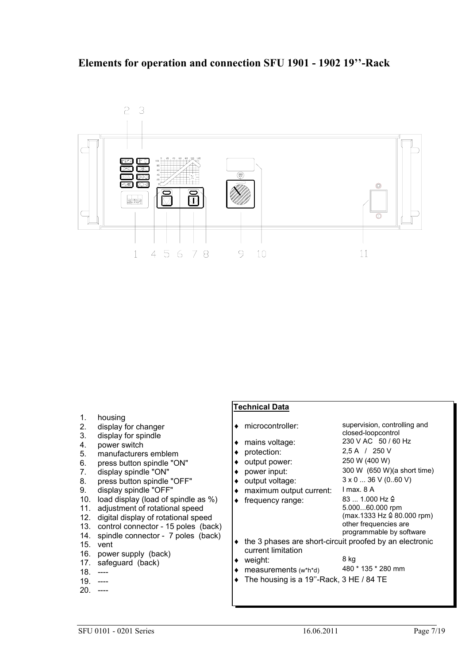### **Elements for operation and connection SFU 1901 - 1902 19''-Rack**



- 1. housing
- 2. display for changer
- 3. display for spindle
- 4. power switch
- 5. manufacturers emblem
- 6. press button spindle "ON"
- 7. display spindle "ON"
- 8. press button spindle "OFF"
- 9. display spindle "OFF"
- 10. load display (load of spindle as %)
- 11. adjustment of rotational speed
- 12. digital display of rotational speed
- 13. control connector 15 poles (back)
- 14. spindle connector 7 poles (back)
- 15. vent
- 16. power supply (back)
- 17. safeguard (back)
- 18. ----
- 19. ----
- 20. ----

#### **Technical Data**

- ♦ microcontroller: supervision, controlling and closed-loopcontrol<br>230 V AC 50 / 60 Hz ♦ mains voltage: 230 V AC 50 /<br>• protection: 2.5 A / 250 V ♦ protection: 2,5 A / 250 V  $\bullet$  output power: ♦ power input:  $\rightarrow$  000 W (650 W)(a short time)<br>
♦ output voltage:  $3 \times 0 ... 36$  V (0.60 V)  $\bullet$  output voltage:  $3 \times 0$  ... 36<br>  $\bullet$  maximum output current: I max. 8 A  $\bullet$  maximum output current: I max. 8 A<br>
► frequency range: 83 ... 1.000 Hz  $\triangleq$  $\bullet$  frequency range: 5.000...60.000 rpm  $(max.1333 Hz  $\stackrel{\triangle}{=} 80.000$  rpm)$ other frequencies are programmable by software ♦ the 3 phases are short-circuit proofed by an electronic current limitation
- 
- $\bullet$  weight: 8 kg<br>  $\bullet$  measurements (w\*h\*d)  $480 * 135 * 280$  mm  $\bullet$  measurements (w\*h\*d)
- ♦ The housing is a 19''-Rack, 3 HE / 84 TE
- SFU 0101 0201 Series 2012 16.06.2011 Page 7/19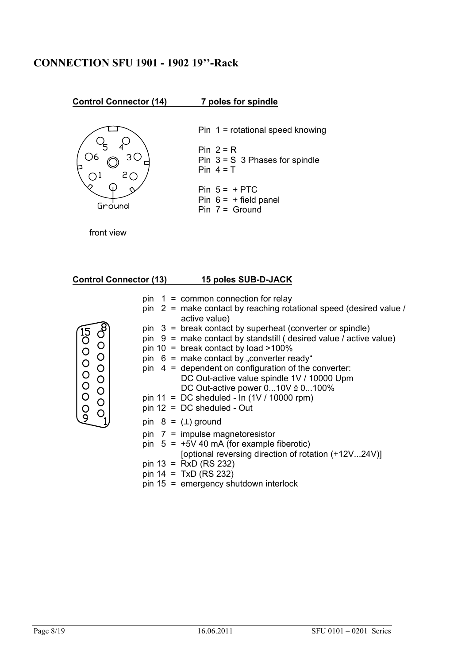# **CONNECTION SFU 1901 - 1902 19''-Rack**

#### **Control Connector (14) 7 poles for spindle**



Pin 1 = rotational speed knowing Pin  $2 = R$ Pin 3 = S 3 Phases for spindle Pin  $4 = T$ Pin  $5 = +$  PTC Pin  $6 = +$  field panel Pin 7 = Ground

front view

င်

 $\circ$ 

 $\overline{O}$ 

 $\circ$ 

 $\Omega$ 

O

15<br>O

 $\overline{O}$ 

 $\bigcirc$  $\overline{O}$ 

O  $\overline{O}$ 

O

 $\overline{O}$ 

O

# **Control Connector (13) 15 poles SUB-D-JACK**

- pin  $1 =$  common connection for relay
- pin  $2 =$  make contact by reaching rotational speed (desired value / active value)
- pin 3 = break contact by superheat (converter or spindle)
- pin  $9 =$  make contact by standstill (desired value / active value)
- pin 10 = break contact by load  $>100\%$
- pin  $6 =$  make contact by "converter ready"
- pin  $4 =$  dependent on configuration of the converter: DC Out-active value spindle 1V / 10000 Upm DC Out-active power  $0...10V \triangleq 0...100\%$
- pin 11 = DC sheduled In  $(1V / 10000$  rpm)
	- pin 12 = DC sheduled Out
	- pin  $8 = (\perp)$  ground
	- pin 7 = impulse magnetoresistor
	- pin  $5 = +5V 40$  mA (for example fiberotic) [optional reversing direction of rotation (+12V...24V)]
	- pin 13 = RxD (RS 232)
	- pin 14 = TxD (RS 232)
	- pin 15 = emergency shutdown interlock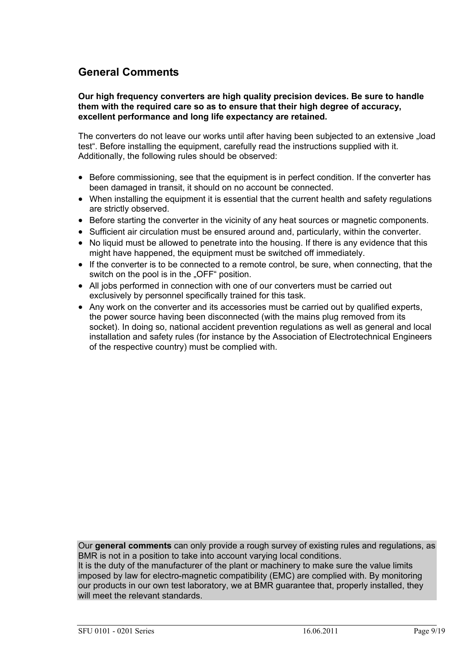# **General Comments**

#### **Our high frequency converters are high quality precision devices. Be sure to handle them with the required care so as to ensure that their high degree of accuracy, excellent performance and long life expectancy are retained.**

The converters do not leave our works until after having been subjected to an extensive "load test". Before installing the equipment, carefully read the instructions supplied with it. Additionally, the following rules should be observed:

- Before commissioning, see that the equipment is in perfect condition. If the converter has been damaged in transit, it should on no account be connected.
- When installing the equipment it is essential that the current health and safety regulations are strictly observed.
- Before starting the converter in the vicinity of any heat sources or magnetic components.
- Sufficient air circulation must be ensured around and, particularly, within the converter.
- No liquid must be allowed to penetrate into the housing. If there is any evidence that this might have happened, the equipment must be switched off immediately.
- If the converter is to be connected to a remote control, be sure, when connecting, that the switch on the pool is in the "OFF" position.
- All jobs performed in connection with one of our converters must be carried out exclusively by personnel specifically trained for this task.
- Any work on the converter and its accessories must be carried out by qualified experts, the power source having been disconnected (with the mains plug removed from its socket). In doing so, national accident prevention regulations as well as general and local installation and safety rules (for instance by the Association of Electrotechnical Engineers of the respective country) must be complied with.

Our **general comments** can only provide a rough survey of existing rules and regulations, as BMR is not in a position to take into account varying local conditions. It is the duty of the manufacturer of the plant or machinery to make sure the value limits imposed by law for electro-magnetic compatibility (EMC) are complied with. By monitoring our products in our own test laboratory, we at BMR guarantee that, properly installed, they will meet the relevant standards.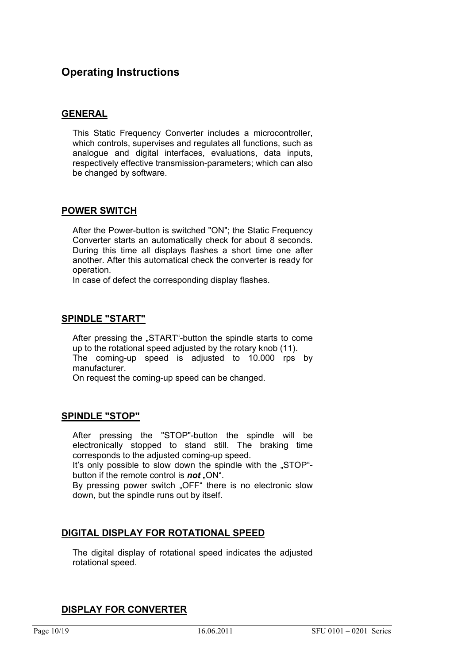# **Operating Instructions**

#### **GENERAL**

This Static Frequency Converter includes a microcontroller, which controls, supervises and regulates all functions, such as analogue and digital interfaces, evaluations, data inputs, respectively effective transmission-parameters; which can also be changed by software.

#### **POWER SWITCH**

After the Power-button is switched "ON"; the Static Frequency Converter starts an automatically check for about 8 seconds. During this time all displays flashes a short time one after another. After this automatical check the converter is ready for operation.

In case of defect the corresponding display flashes.

#### **SPINDLE "START"**

After pressing the "START"-button the spindle starts to come up to the rotational speed adjusted by the rotary knob (11). The coming-up speed is adjusted to 10.000 rps by manufacturer.

On request the coming-up speed can be changed.

#### **SPINDLE "STOP"**

After pressing the "STOP"-button the spindle will be electronically stopped to stand still. The braking time corresponds to the adjusted coming-up speed.

It's only possible to slow down the spindle with the "STOP"button if the remote control is **not** . ON".

By pressing power switch "OFF" there is no electronic slow down, but the spindle runs out by itself.

#### **DIGITAL DISPLAY FOR ROTATIONAL SPEED**

The digital display of rotational speed indicates the adjusted rotational speed.

#### **DISPLAY FOR CONVERTER**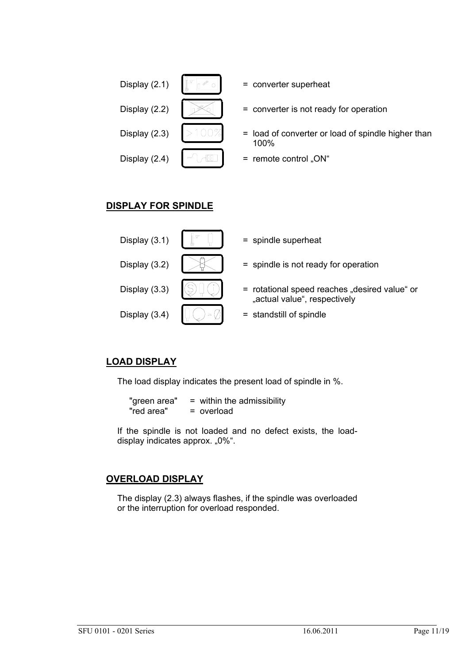

- 
- Display (2.2)  $\|\mathscr{K}\|$  = converter is not ready for operation
- Display (2.3)  $\vert > 100\% \vert$  = load of converter or load of spindle higher than 100%
	-

# **DISPLAY FOR SPINDLE**

| Display (3.1) | = spindle superheat                                                           |
|---------------|-------------------------------------------------------------------------------|
| Display (3.2) | = spindle is not ready for operation                                          |
| Display (3.3) | = rotational speed reaches "desired value" or<br>"actual value", respectively |
| Display (3.4) | = standstill of spindle                                                       |

# **LOAD DISPLAY**

The load display indicates the present load of spindle in %.

"green area" = within the admissibility<br>"red area" = overload = overload

If the spindle is not loaded and no defect exists, the loaddisplay indicates approx. "0%".

### **OVERLOAD DISPLAY**

The display (2.3) always flashes, if the spindle was overloaded or the interruption for overload responded.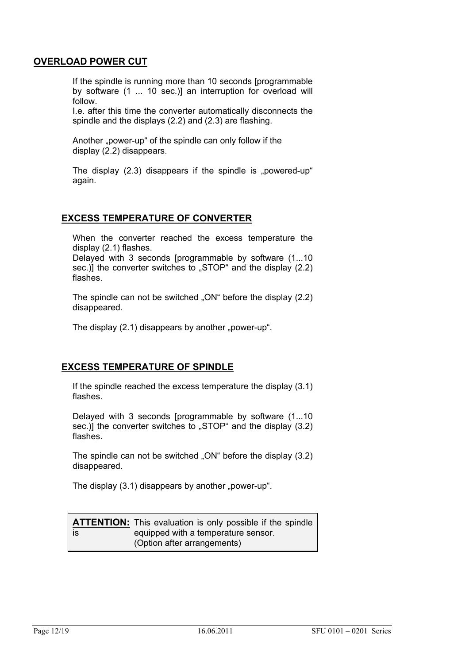#### **OVERLOAD POWER CUT**

If the spindle is running more than 10 seconds [programmable by software (1 ... 10 sec.)] an interruption for overload will follow.

I.e. after this time the converter automatically disconnects the spindle and the displays (2.2) and (2.3) are flashing.

Another "power-up" of the spindle can only follow if the display (2.2) disappears.

The display  $(2.3)$  disappears if the spindle is "powered-up" again.

#### **EXCESS TEMPERATURE OF CONVERTER**

When the converter reached the excess temperature the display (2.1) flashes.

Delayed with 3 seconds [programmable by software (1...10 sec.)] the converter switches to "STOP" and the display (2.2) flashes.

The spindle can not be switched " $ON^{\circ}$  before the display (2.2) disappeared.

The display  $(2.1)$  disappears by another "power-up".

#### **EXCESS TEMPERATURE OF SPINDLE**

If the spindle reached the excess temperature the display (3.1) flashes.

Delayed with 3 seconds [programmable by software (1...10 sec.)] the converter switches to "STOP" and the display (3.2) flashes.

The spindle can not be switched " $ON$ " before the display  $(3.2)$ disappeared.

The display  $(3.1)$  disappears by another "power-up".

|           | <b>ATTENTION:</b> This evaluation is only possible if the spindle |
|-----------|-------------------------------------------------------------------|
| <b>is</b> | equipped with a temperature sensor.                               |
|           | (Option after arrangements)                                       |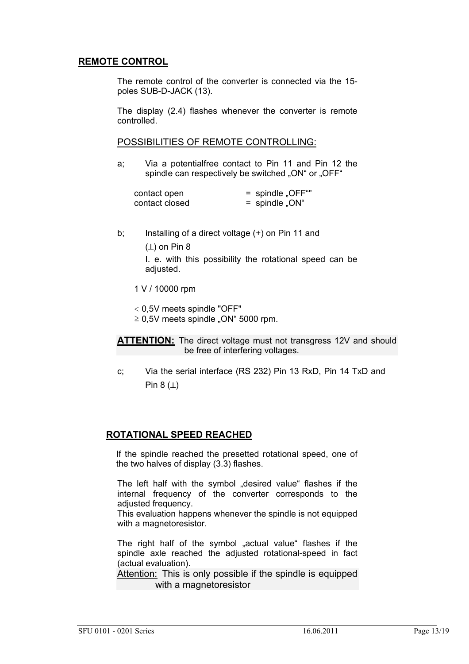#### **REMOTE CONTROL**

The remote control of the converter is connected via the 15 poles SUB-D-JACK (13).

The display (2.4) flashes whenever the converter is remote controlled.

#### POSSIBILITIES OF REMOTE CONTROLLING:

a; Via a potentialfree contact to Pin 11 and Pin 12 the spindle can respectively be switched "ON" or "OFF"

| contact open   | $=$ spindle "OFF"" |
|----------------|--------------------|
| contact closed | $=$ spindle "ON"   |

b; Installing of a direct voltage (+) on Pin 11 and

 $(L)$  on Pin 8

 I. e. with this possibility the rotational speed can be adjusted.

1 V / 10000 rpm

< 0,5V meets spindle "OFF"

 $\geq$  0,5V meets spindle "ON" 5000 rpm.

**ATTENTION:** The direct voltage must not transgress 12V and should be free of interfering voltages.

c; Via the serial interface (RS 232) Pin 13 RxD, Pin 14 TxD and Pin  $8(\perp)$ 

#### **ROTATIONAL SPEED REACHED**

If the spindle reached the presetted rotational speed, one of the two halves of display (3.3) flashes.

The left half with the symbol "desired value" flashes if the internal frequency of the converter corresponds to the adjusted frequency.

This evaluation happens whenever the spindle is not equipped with a magnetoresistor.

The right half of the symbol "actual value" flashes if the spindle axle reached the adjusted rotational-speed in fact (actual evaluation).

Attention: This is only possible if the spindle is equipped with a magnetoresistor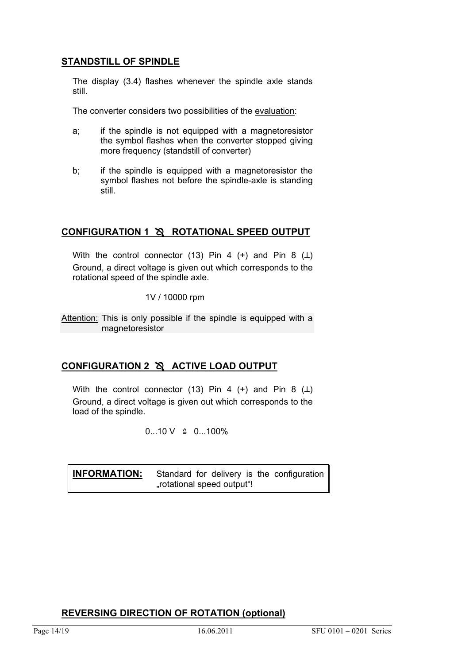#### **STANDSTILL OF SPINDLE**

The display (3.4) flashes whenever the spindle axle stands still.

The converter considers two possibilities of the evaluation:

- a; if the spindle is not equipped with a magnetoresistor the symbol flashes when the converter stopped giving more frequency (standstill of converter)
- b; if the spindle is equipped with a magnetoresistor the symbol flashes not before the spindle-axle is standing still.

#### **CONFIGURATION 1** º **ROTATIONAL SPEED OUTPUT**

With the control connector (13) Pin 4  $(+)$  and Pin 8  $(L)$ Ground, a direct voltage is given out which corresponds to the rotational speed of the spindle axle.

1V / 10000 rpm

Attention: This is only possible if the spindle is equipped with a magnetoresistor

### **CONFIGURATION 2** º **ACTIVE LOAD OUTPUT**

With the control connector (13) Pin 4  $(+)$  and Pin 8  $(L)$ Ground, a direct voltage is given out which corresponds to the load of the spindle.

 $0...10$  V  $\triangleq$  0...100%

| <b>INFORMATION:</b> |                            |  | Standard for delivery is the configuration |
|---------------------|----------------------------|--|--------------------------------------------|
|                     | "rotational speed output"! |  |                                            |

#### **REVERSING DIRECTION OF ROTATION (optional)**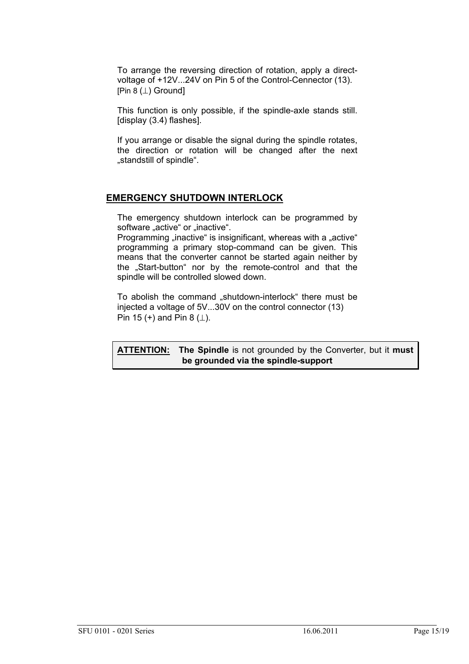To arrange the reversing direction of rotation, apply a directvoltage of +12V...24V on Pin 5 of the Control-Cennector (13). [Pin 8 (⊥) Ground]

This function is only possible, if the spindle-axle stands still. [display (3.4) flashes].

If you arrange or disable the signal during the spindle rotates, the direction or rotation will be changed after the next "standstill of spindle".

#### **EMERGENCY SHUTDOWN INTERLOCK**

The emergency shutdown interlock can be programmed by software "active" or "inactive".

Programming "inactive" is insignificant, whereas with a "active" programming a primary stop-command can be given. This means that the converter cannot be started again neither by the "Start-button" nor by the remote-control and that the spindle will be controlled slowed down.

To abolish the command "shutdown-interlock" there must be injected a voltage of 5V...30V on the control connector (13) Pin 15 (+) and Pin 8  $(\perp)$ .

**ATTENTION: The Spindle** is not grounded by the Converter, but it **must be grounded via the spindle-support**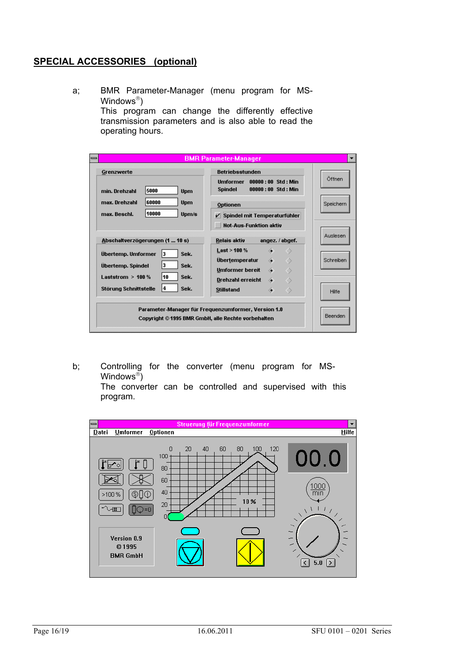#### **SPECIAL ACCESSORIES (optional)**

a; BMR Parameter-Manager (menu program for MS-Windows®)

> This program can change the differently effective transmission parameters and is also able to read the operating hours.

|                                      | <b>BMR Parameter-Manager</b>                                                                              |           |
|--------------------------------------|-----------------------------------------------------------------------------------------------------------|-----------|
| Grenzwerte                           | <b>Betriebsstunden</b>                                                                                    |           |
| 5000<br>min. Drehzahl<br><b>Upm</b>  | Umformer<br>$00000:00 \text{ Std}: \text{Min}$<br><b>Spindel</b><br>$00000:00 \text{ Std}: \text{Min}$    | Öffnen    |
| 60000<br>max. Drehzahl<br><b>Upm</b> | Optionen                                                                                                  | Speichern |
| 10000<br>max. Beschl.<br>Upm/s       | $\nu$ Spindel mit Temperaturfühler<br><b>Not-Aus-Funktion aktiv</b>                                       |           |
| Abschaltverzögerungen (1  10 s)      | Relais aktiv<br>angez. / abgef.                                                                           | Auslesen  |
| Übertemp. Umformer<br>Sek.<br>13     | Last > 100 %<br>◇                                                                                         |           |
| 13<br>Übertemp. Spindel<br>Sek.      | <b>Übertemperatur</b><br>$\begin{array}{cc} \bullet & \bullet \end{array}$                                | Schreiben |
| 10<br>Sek.<br>Laststrom $> 100$ %    | Umformer bereit<br>$\leftarrow$ 0<br>Drehzahl erreicht<br>$\Leftrightarrow$ $\Diamond$                    |           |
| 14<br>Sek.<br>Störung Schnittstelle  | Stillstand                                                                                                | Hilfe     |
|                                      | Parameter-Manager für Frequenzumformer, Version 1.0<br>Copyright © 1995 BMR GmbH, alle Rechte vorbehalten | Beenden   |

b; Controlling for the converter (menu program for MS-Windows®) The converter can be controlled and supervised with this

program.